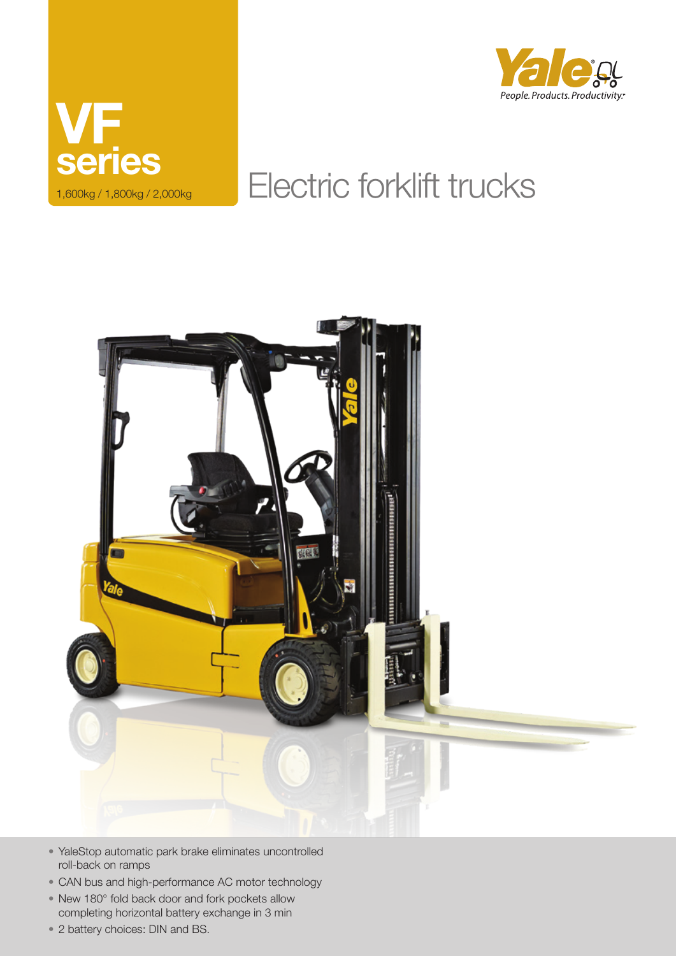



# Electric forklift trucks



- • YaleStop automatic park brake eliminates uncontrolled roll-back on ramps
- CAN bus and high-performance AC motor technology
- New 180° fold back door and fork pockets allow completing horizontal battery exchange in 3 min
- 2 battery choices: DIN and BS.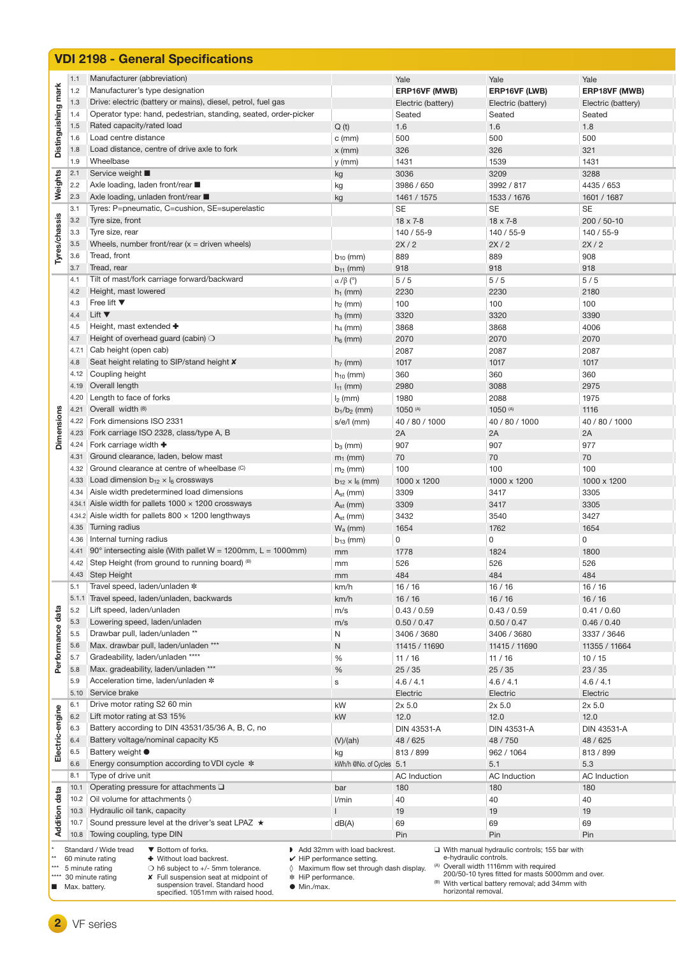|                      |               | <b>VDI 2198 - General Specifications</b>                                                                                                          |                                                   |                            |                                                                 |                            |
|----------------------|---------------|---------------------------------------------------------------------------------------------------------------------------------------------------|---------------------------------------------------|----------------------------|-----------------------------------------------------------------|----------------------------|
|                      | 1.1           | Manufacturer (abbreviation)                                                                                                                       |                                                   | Yale                       | Yale                                                            | Yale                       |
|                      | 1.2           | Manufacturer's type designation                                                                                                                   |                                                   | ERP16VF (MWB)              | ERP16VF (LWB)                                                   | ERP18VF (MWB)              |
|                      | 1.3           | Drive: electric (battery or mains), diesel, petrol, fuel gas                                                                                      |                                                   | Electric (battery)         | Electric (battery)                                              | Electric (battery)         |
| Distinguishing mark  | 1.4           | Operator type: hand, pedestrian, standing, seated, order-picker                                                                                   |                                                   | Seated                     | Seated                                                          | Seated                     |
|                      | 1.5           | Rated capacity/rated load                                                                                                                         | Q(t)                                              | 1.6                        | 1.6                                                             | 1.8                        |
|                      | 1.6           | Load centre distance                                                                                                                              | $c$ (mm)                                          | 500                        | 500                                                             | 500                        |
|                      | 1.8           | Load distance, centre of drive axle to fork                                                                                                       | $x$ (mm)                                          | 326                        | 326                                                             | 321                        |
|                      | 1.9           | Wheelbase                                                                                                                                         | y (mm)                                            | 1431                       | 1539                                                            | 1431                       |
|                      | 2.1           | Service weight ■                                                                                                                                  | kg                                                | 3036                       | 3209                                                            | 3288                       |
| Weights              | 2.2           | Axle loading, laden front/rear ■                                                                                                                  | kg                                                | 3986 / 650                 | 3992 / 817                                                      | 4435 / 653                 |
|                      | 2.3           | Axle loading, unladen front/rear ■                                                                                                                | kg                                                | 1461 / 1575                | 1533 / 1676                                                     | 1601 / 1687                |
|                      | 3.1           | Tyres: P=pneumatic, C=cushion, SE=superelastic                                                                                                    |                                                   | SE                         | <b>SE</b>                                                       | SE                         |
|                      | 3.2           | Tyre size, front                                                                                                                                  |                                                   | $18 \times 7 - 8$          | $18 \times 7 - 8$                                               | 200 / 50-10                |
|                      | 3.3           | Tyre size, rear                                                                                                                                   |                                                   | 140 / 55-9                 | 140 / 55-9                                                      | 140 / 55-9                 |
| Tyres/chassis        | 3.5           | Wheels, number front/rear $(x =$ driven wheels)                                                                                                   |                                                   | 2X/2                       | 2X/2                                                            | 2X/2                       |
|                      | 3.6<br>3.7    | Tread, front<br>Tread, rear                                                                                                                       | $b_{10}$ (mm)                                     | 889<br>918                 | 889<br>918                                                      | 908<br>918                 |
|                      | 4.1           | Tilt of mast/fork carriage forward/backward                                                                                                       | $b_{11}$ (mm)                                     | 5/5                        | 5/5                                                             | 5/5                        |
|                      | 4.2           | Height, mast lowered                                                                                                                              | $\alpha$ / $\beta$ (°)<br>$h_1$ (mm)              | 2230                       | 2230                                                            | 2180                       |
|                      | 4.3           | Free lift $\Psi$                                                                                                                                  | $h_2$ (mm)                                        | 100                        | 100                                                             | 100                        |
|                      | 4.4           | Lift $\blacktriangledown$                                                                                                                         | $h_3$ (mm)                                        | 3320                       | 3320                                                            | 3390                       |
|                      | 4.5           | Height, mast extended $\bullet$                                                                                                                   | $h_4$ (mm)                                        | 3868                       | 3868                                                            | 4006                       |
|                      | 4.7           | Height of overhead guard (cabin) $\bigcirc$                                                                                                       | $h_6$ (mm)                                        | 2070                       | 2070                                                            | 2070                       |
|                      | 4.7.1         | Cab height (open cab)                                                                                                                             |                                                   | 2087                       | 2087                                                            | 2087                       |
|                      | 4.8           | Seat height relating to SIP/stand height <b>X</b>                                                                                                 | $h7$ (mm)                                         | 1017                       | 1017                                                            | 1017                       |
|                      | 4.12          | Coupling height                                                                                                                                   | $h_{10}$ (mm)                                     | 360                        | 360                                                             | 360                        |
|                      | 4.19          | Overall length                                                                                                                                    | $I_{11}$ (mm)                                     | 2980                       | 3088                                                            | 2975                       |
|                      | 4.20          | Length to face of forks                                                                                                                           | $I2$ (mm)                                         | 1980                       | 2088                                                            | 1975                       |
|                      | 4.21          | Overall width (8)                                                                                                                                 | $b_1/b_2$ (mm)                                    | 1050 (A)                   | 1050 (A)                                                        | 1116                       |
| <b>Dimensions</b>    | 4.22          | Fork dimensions ISO 2331                                                                                                                          | $s/e/l$ (mm)                                      | 40 / 80 / 1000             | 40 / 80 / 1000                                                  | 40 / 80 / 1000             |
|                      | 4.23          | Fork carriage ISO 2328, class/type A, B                                                                                                           |                                                   | 2A                         | 2A                                                              | 2A                         |
|                      | 4.24          | Fork carriage width $\blacklozenge$                                                                                                               | $b_3$ (mm)                                        | 907                        | 907                                                             | 977                        |
|                      | 4.31          | Ground clearance, laden, below mast                                                                                                               | $m_1$ (mm)                                        | 70                         | 70                                                              | 70                         |
|                      | 4.32          | Ground clearance at centre of wheelbase (C)                                                                                                       | $m2$ (mm)                                         | 100                        | 100                                                             | 100                        |
|                      | 4.33          | Load dimension $b_{12} \times l_6$ crossways                                                                                                      | $b_{12} \times l_6$ (mm)                          | 1000 x 1200                | 1000 x 1200                                                     | 1000 x 1200                |
|                      | 4.34          | Aisle width predetermined load dimensions                                                                                                         | $A_{st}$ (mm)                                     | 3309                       | 3417                                                            | 3305                       |
|                      |               | 4.34.1 Aisle width for pallets 1000 x 1200 crossways                                                                                              | $A_{st}$ (mm)                                     | 3309                       | 3417                                                            | 3305                       |
|                      |               | 4.34.2 Aisle width for pallets $800 \times 1200$ lengthways                                                                                       | $A_{st}$ (mm)                                     | 3432                       | 3540                                                            | 3427                       |
|                      | 4.35          | Turning radius                                                                                                                                    | $W_a$ (mm)                                        | 1654                       | 1762                                                            | 1654                       |
|                      | 4.36          | Internal turning radius                                                                                                                           | $b_{13}$ (mm)                                     | 0                          | $\mathbf 0$                                                     | $\mathsf 0$                |
|                      |               | 4.41 $90^\circ$ intersecting aisle (With pallet W = 1200mm, L = 1000mm)                                                                           | mm                                                | 1778                       | 1824                                                            | 1800                       |
|                      | 4.42          | Step Height (from ground to running board) (B)                                                                                                    | mm                                                | 526                        | 526                                                             | 526                        |
|                      | 4.43          | Step Height                                                                                                                                       | mm                                                | 484                        | 484                                                             | 484                        |
|                      | 5.1           | Travel speed, laden/unladen *                                                                                                                     | km/h                                              | 16/16                      | 16/16                                                           | 16/16                      |
|                      | 5.1.1<br>5.2  | Travel speed, laden/unladen, backwards<br>Lift speed, laden/unladen                                                                               | km/h                                              | 16/16                      | 16/16                                                           | 16/16                      |
|                      | 5.3           |                                                                                                                                                   | m/s                                               | 0.43 / 0.59                | 0.43 / 0.59                                                     | 0.41 / 0.60                |
| Performance data     | 5.5           | Lowering speed, laden/unladen<br>Drawbar pull, laden/unladen **                                                                                   | m/s<br>N                                          | 0.50 / 0.47<br>3406 / 3680 | 0.50 / 0.47<br>3406 / 3680                                      | 0.46 / 0.40<br>3337 / 3646 |
|                      | 5.6           | Max. drawbar pull, laden/unladen ***                                                                                                              | N                                                 | 11415 / 11690              | 11415 / 11690                                                   | 11355 / 11664              |
|                      | 5.7           | Gradeability, laden/unladen ****                                                                                                                  | %                                                 | 11/16                      | 11/16                                                           | 10/15                      |
|                      | 5.8           | Max. gradeability, laden/unladen ***                                                                                                              | %                                                 | 25/35                      | 25/35                                                           | 23/35                      |
|                      | 5.9           | Acceleration time, laden/unladen *                                                                                                                | s                                                 | 4.6 / 4.1                  | 4.6 / 4.1                                                       | 4.6 / 4.1                  |
|                      | 5.10          | Service brake                                                                                                                                     |                                                   | Electric                   | Electric                                                        | Electric                   |
|                      | 6.1           | Drive motor rating S2 60 min                                                                                                                      | kW                                                | $2x$ 5.0                   | 2x <sub>5.0</sub>                                               | 2x <sub>5.0</sub>          |
| Electric-engine      | 6.2           | Lift motor rating at S3 15%                                                                                                                       | kW                                                | 12.0                       | 12.0                                                            | 12.0                       |
|                      | 6.3           | Battery according to DIN 43531/35/36 A, B, C, no                                                                                                  |                                                   | DIN 43531-A                | DIN 43531-A                                                     | DIN 43531-A                |
|                      | 6.4           | Battery voltage/nominal capacity K5                                                                                                               | (V)/(ah)                                          | 48 / 625                   | 48 / 750                                                        | 48 / 625                   |
|                      | 6.5           | Battery weight $\bullet$                                                                                                                          | kg                                                | 813 / 899                  | 962 / 1064                                                      | 813 / 899                  |
|                      | 6.6           | Energy consumption according to VDI cycle *                                                                                                       | kWh/h @No. of Cycles 5.1                          |                            | 5.1                                                             | 5.3                        |
|                      | 8.1           | Type of drive unit                                                                                                                                |                                                   | <b>AC</b> Induction        | <b>AC</b> Induction                                             | <b>AC</b> Induction        |
|                      | 10.1          | Operating pressure for attachments $\square$                                                                                                      | bar                                               | 180                        | 180                                                             | 180                        |
|                      | 10.2          | Oil volume for attachments $\Diamond$                                                                                                             | l/min                                             | 40                         | 40                                                              | 40                         |
|                      | 10.3          | Hydraulic oil tank, capacity                                                                                                                      |                                                   | 19                         | 19                                                              | 19                         |
| <b>Addition data</b> | 10.7          | Sound pressure level at the driver's seat LPAZ ★                                                                                                  | dB(A)                                             | 69                         | 69                                                              | 69                         |
|                      | 10.8          | Towing coupling, type DIN                                                                                                                         |                                                   | Pin                        | Pin                                                             | Pin                        |
|                      |               | Standard / Wide tread<br>▼ Bottom of forks.                                                                                                       | Add 32mm with load backrest.                      |                            | $\Box$ With manual hydraulic controls; 155 bar with             |                            |
| $**$<br>***          |               | + Without load backrest.<br>60 minute rating                                                                                                      | $\checkmark$ HiP performance setting.             |                            | e-hydraulic controls.<br>(A) Overall width 1116mm with required |                            |
|                      |               | 5 minute rating<br>$\bigcirc$ h6 subject to +/- 5mm tolerance.<br>30 minute rating<br>X Full suspension seat at midpoint of<br>* HiP performance. | $\Diamond$ Maximum flow set through dash display. |                            | 200/50-10 tyres fitted for masts 5000mm and over.               |                            |
| ■                    | Max. battery. | suspension travel. Standard hood<br>$\bullet$ Min./max.<br>specified. 1051mm with raised hood.                                                    |                                                   | horizontal removal.        | <sup>(B)</sup> With vertical battery removal; add 34mm with     |                            |

**2** VF series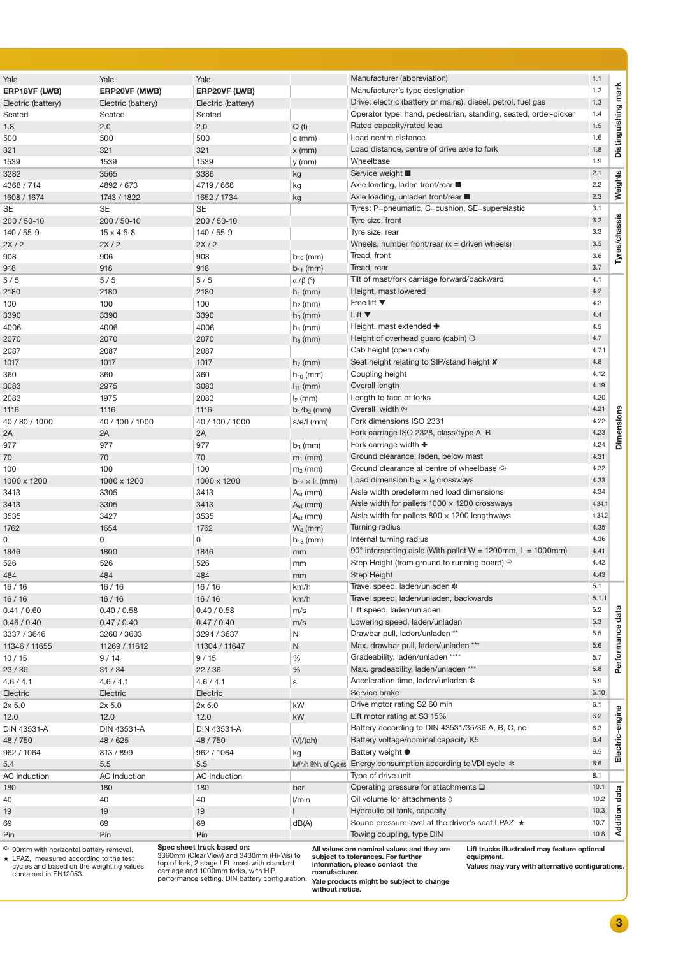| Yale                 | Yale                | Yale                |                          | Manufacturer (abbreviation)                                           | 1.1          |                |
|----------------------|---------------------|---------------------|--------------------------|-----------------------------------------------------------------------|--------------|----------------|
| <b>ERP18VF (LWB)</b> | ERP20VF (MWB)       | ERP20VF (LWB)       |                          | Manufacturer's type designation                                       | 1.2          | mark           |
| Electric (battery)   | Electric (battery)  | Electric (battery)  |                          | Drive: electric (battery or mains), diesel, petrol, fuel gas          | 1.3          |                |
| Seated               | Seated              | Seated              |                          | Operator type: hand, pedestrian, standing, seated, order-picker       | 1.4          | Distinguishing |
| 1.8                  | 2.0                 | 2.0                 | Q(t)                     | Rated capacity/rated load                                             | 1.5          |                |
| 500                  | 500                 | 500                 | $c$ (mm)                 | Load centre distance                                                  | 1.6          |                |
| 321                  | 321                 | 321                 | $x$ (mm)                 | Load distance, centre of drive axle to fork                           | 1.8          |                |
| 1539                 | 1539                | 1539                | y (mm)                   | Wheelbase                                                             | 1.9          |                |
| 3282                 | 3565                | 3386                |                          | Service weight ■                                                      | 2.1          |                |
| 4368 / 714           | 4892 / 673          | 4719 / 668          | kg                       | Axle loading, laden front/rear ■                                      | 2.2          | ights          |
|                      |                     |                     | kg                       | Axle loading, unladen front/rear                                      | 2.3          | wei            |
| 1608 / 1674          | 1743 / 1822         | 1652 / 1734         | kg                       |                                                                       | 3.1          |                |
| SE                   | <b>SE</b>           | <b>SE</b>           |                          | Tyres: P=pneumatic, C=cushion, SE=superelastic                        |              |                |
| 200 / 50-10          | 200 / 50-10         | 200 / 50-10         |                          | Tyre size, front                                                      | 3.2          | Tyres/chassis  |
| 140 / 55-9           | $15 \times 4.5 - 8$ | 140 / 55-9          |                          | Tyre size, rear                                                       | 3.3          |                |
| 2X / 2               | 2X/2                | 2X/2                |                          | Wheels, number front/rear $(x =$ driven wheels)                       | 3.5          |                |
| 908                  | 906                 | 908                 | $b_{10}$ (mm)            | Tread, front                                                          | 3.6          |                |
| 918                  | 918                 | 918                 | $b_{11}$ (mm)            | Tread, rear                                                           | 3.7          |                |
| 5/5                  | 5/5                 | 5/5                 | $\alpha$ / $\beta$ (°)   | Tilt of mast/fork carriage forward/backward                           | 4.1          |                |
| 2180                 | 2180                | 2180                | $h_1$ (mm)               | Height, mast lowered                                                  | 4.2          |                |
| 100                  | 100                 | 100                 | $h_2$ (mm)               | Free lift $\blacktriangledown$                                        | 4.3          |                |
| 3390                 | 3390                | 3390                | $h_3$ (mm)               | Lift $\blacktriangledown$                                             | 4.4          |                |
| 4006                 | 4006                | 4006                | $h_4$ (mm)               | Height, mast extended +                                               | 4.5          |                |
| 2070                 | 2070                | 2070                | $h_6$ (mm)               | Height of overhead guard (cabin) $\bigcirc$                           | 4.7          |                |
| 2087                 | 2087                | 2087                |                          | Cab height (open cab)                                                 | 4.7.1        |                |
| 1017                 | 1017                | 1017                | $h7$ (mm)                | Seat height relating to SIP/stand height <b>X</b>                     | 4.8          |                |
| 360                  | 360                 | 360                 | $h_{10}$ (mm)            | Coupling height                                                       | 4.12         |                |
| 3083                 | 2975                | 3083                | $I_{11}$ (mm)            | Overall length                                                        | 4.19         |                |
| 2083                 | 1975                | 2083                | $I_2$ (mm)               | Length to face of forks                                               | 4.20         |                |
| 1116                 | 1116                | 1116                | $b_1/b_2$ (mm)           | Overall width (8)                                                     | 4.21         |                |
| 40 / 80 / 1000       | 40 / 100 / 1000     | 40 / 100 / 1000     | $s/e/l$ (mm)             | Fork dimensions ISO 2331                                              | 4.22         |                |
| 2Α                   | 2A                  | 2A                  |                          | Fork carriage ISO 2328, class/type A, B                               | 4.23         |                |
| 977                  | 977                 | 977                 | $b_3$ (mm)               | Fork carriage width $\blacklozenge$                                   | 4.24         | ة              |
| 70                   | 70                  | 70                  | $m_1$ (mm)               | Ground clearance, laden, below mast                                   | 4.31         |                |
| 100                  | 100                 | 100                 | $m2$ (mm)                | Ground clearance at centre of wheelbase (C)                           | 4.32         |                |
| 1000 x 1200          | 1000 x 1200         | 1000 x 1200         | $b_{12} \times l_6$ (mm) | Load dimension $b_{12} \times l_6$ crossways                          | 4.33         |                |
| 3413                 | 3305                | 3413                | $A_{st}$ (mm)            | Aisle width predetermined load dimensions                             | 4.34         |                |
| 3413                 | 3305                | 3413                | $A_{st}$ (mm)            | Aisle width for pallets $1000 \times 1200$ crossways                  | 4.34.1       |                |
| 3535                 | 3427                | 3535                | $A_{st}$ (mm)            | Aisle width for pallets $800 \times 1200$ lengthways                  | 4.34.2       |                |
| 1762                 | 1654                | 1762                | $W_a$ (mm)               | Turning radius                                                        | 4.35         |                |
| 0                    | 0                   | 0                   | $b_{13}$ (mm)            | Internal turning radius                                               | 4.36         |                |
| 1846                 | 1800                | 1846                | mm                       | 90 $^{\circ}$ intersecting aisle (With pallet W = 1200mm, L = 1000mm) | 4.41         |                |
| 526                  | 526                 | 526                 | mm                       | Step Height (from ground to running board) (B)                        | 4.42         |                |
| 484                  | 484                 | 484                 | mm                       | Step Height                                                           | 4.43         |                |
| 16 / 16              | 16 / 16             | 16/16               | km/h                     | Travel speed, laden/unladen *                                         | 5.1          |                |
| 16/16                | 16/16               | 16/16               | km/h                     | Travel speed, laden/unladen, backwards                                | 5.1.1        |                |
| 0.41 / 0.60          | 0.40 / 0.58         | 0.40 / 0.58         | m/s                      | Lift speed, laden/unladen                                             | 5.2          |                |
| 0.46 / 0.40          | 0.47 / 0.40         | 0.47 / 0.40         | m/s                      | Lowering speed, laden/unladen                                         | 5.3          | data           |
| 3337 / 3646          | 3260 / 3603         | 3294 / 3637         | N                        | Drawbar pull, laden/unladen **                                        | 5.5          |                |
| 11346 / 11655        | 11269 / 11612       | 11304 / 11647       | N                        | Max. drawbar pull, laden/unladen ***                                  | 5.6          |                |
|                      | 9/14                | 9/15                | %                        | Gradeability, laden/unladen ****                                      | 5.7          |                |
| 10 / 15              |                     | 22/36               | %                        | Max. gradeability, laden/unladen ***                                  | 5.8          | Perfor         |
| 23 / 36<br>4.6 / 4.1 | 31/34               | 4.6/4.1             |                          | Acceleration time, laden/unladen *                                    | 5.9          |                |
|                      | 4.6 / 4.1           |                     | s                        | Service brake                                                         | 5.10         |                |
| Electric             | Electric            | Electric            |                          | Drive motor rating S2 60 min                                          |              |                |
| 2x 5.0               | 2x 5.0              | 2x <sub>5.0</sub>   | kW                       |                                                                       | 6.1          | igne           |
| 12.0                 | 12.0                | 12.0                | kW                       | Lift motor rating at S3 15%                                           | 6.2          |                |
| DIN 43531-A          | DIN 43531-A         | DIN 43531-A         |                          | Battery according to DIN 43531/35/36 A, B, C, no                      | 6.3          |                |
| 48 / 750             | 48 / 625            | 48 / 750            | (V)/(ah)                 | Battery voltage/nominal capacity K5                                   | 6.4          | ctric-         |
| 962 / 1064           | 813 / 899           | 962 / 1064          | kg                       | Battery weight $\bullet$                                              | 6.5          | ۵Ë             |
| 5.4                  | 5.5                 | 5.5                 |                          | kWh/h @Nn. of Cycles Energy consumption according to VDI cycle *      | 6.6          |                |
| AC Induction         | <b>AC</b> Induction | <b>AC</b> Induction |                          | Type of drive unit                                                    | 8.1          |                |
| 180                  | 180                 | 180                 | bar                      | Operating pressure for attachments $\square$                          | 10.1         | data           |
| 40                   | 40                  | 40                  | l/min                    | Oil volume for attachments $\Diamond$                                 | 10.2         |                |
| 19                   | 19                  | 19                  |                          | Hydraulic oil tank, capacity                                          | 10.3         |                |
| 69                   | 69                  | 69                  | dB(A)                    | Sound pressure level at the driver's seat LPAZ ★                      | 10.7<br>10.8 | ੩              |
| Pin                  | Pin                 | Pin                 |                          | Towing coupling, type DIN                                             |              |                |

(C) 90mm with horizontal battery removal. H LPAZ, measured according to the test cycles and based on the weighting values contained in EN12053.

֦

**Spec sheet truck based on:**<br>3360mm (Clear View) and 3430mm (Hi-Vis) to<br>top of fork, 2 stage LFL mast with standard<br>carriage and 1000mm forks, with HiP<br>performance setting, DIN battery configuration.

**All values are nominal values and they are subject to tolerances. For further information, please contact the manufacturer.**

**equipment.** 

**Values may vary with alternative configurations.**

**Yale products might be subject to change without notice.** 

**3**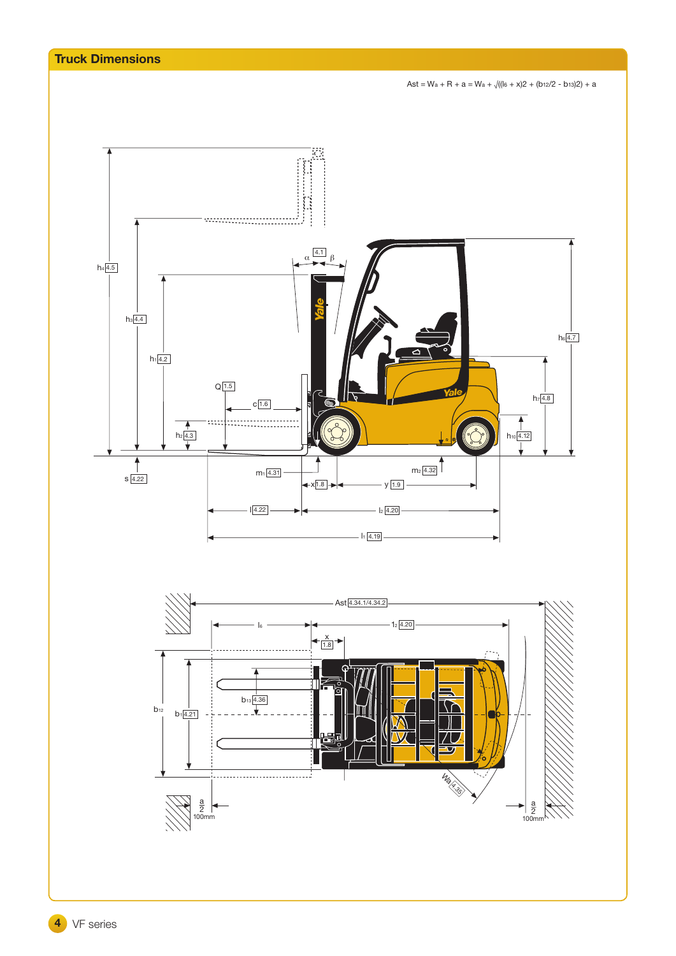

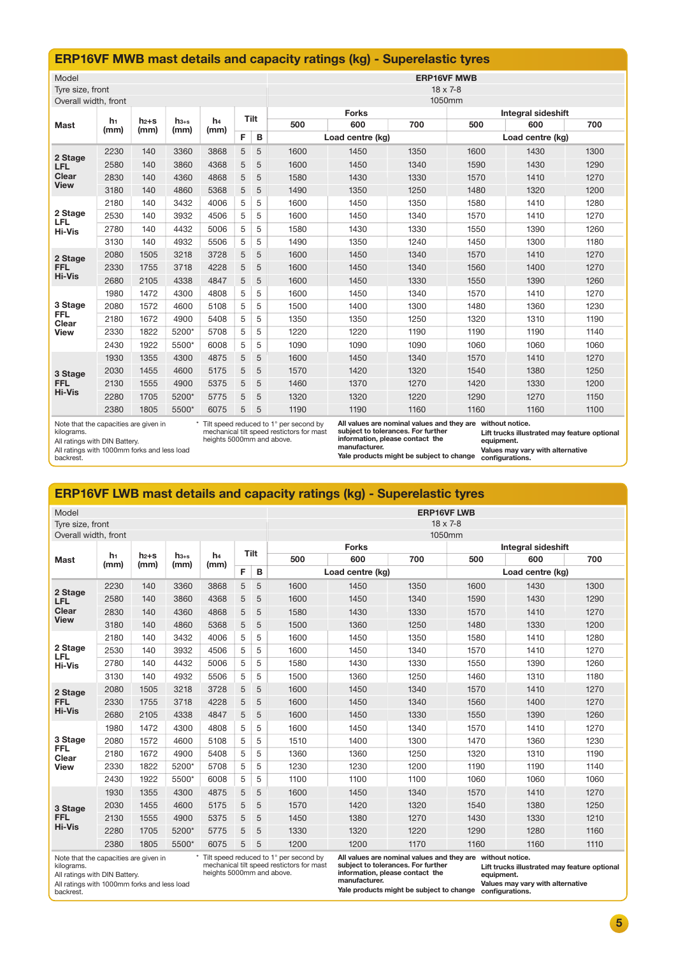# **ERP16VF MWB mast details and capacity ratings (kg) - Superelastic tyres**

| Model                                                                                                                                                                                                                                                                                          |                        |                   |                   |                |   |      | <b>ERP16VF MWB</b> |                                    |      |      |                  |      |  |  |
|------------------------------------------------------------------------------------------------------------------------------------------------------------------------------------------------------------------------------------------------------------------------------------------------|------------------------|-------------------|-------------------|----------------|---|------|--------------------|------------------------------------|------|------|------------------|------|--|--|
| Tyre size, front                                                                                                                                                                                                                                                                               |                        |                   |                   |                |   |      | $18 \times 7 - 8$  |                                    |      |      |                  |      |  |  |
| Overall width, front                                                                                                                                                                                                                                                                           |                        |                   |                   |                |   |      | 1050mm             |                                    |      |      |                  |      |  |  |
|                                                                                                                                                                                                                                                                                                | h <sub>1</sub><br>(mm) |                   |                   | h <sub>4</sub> |   | Tilt |                    | <b>Forks</b><br>Integral sideshift |      |      |                  |      |  |  |
| <b>Mast</b>                                                                                                                                                                                                                                                                                    |                        | $h_{2+S}$<br>(mm) | $h_{3+s}$<br>(mm) | (mm)           |   |      | 500                | 600                                | 700  | 500  | 600              | 700  |  |  |
|                                                                                                                                                                                                                                                                                                |                        |                   |                   |                | F | в    |                    | Load centre (kg)                   |      |      | Load centre (kg) |      |  |  |
| 2 Stage                                                                                                                                                                                                                                                                                        | 2230                   | 140               | 3360              | 3868           | 5 | 5    | 1600               | 1450                               | 1350 | 1600 | 1430             | 1300 |  |  |
| <b>LFL</b>                                                                                                                                                                                                                                                                                     | 2580                   | 140               | 3860              | 4368           | 5 | 5    | 1600               | 1450                               | 1340 | 1590 | 1430             | 1290 |  |  |
| <b>Clear</b>                                                                                                                                                                                                                                                                                   | 2830                   | 140               | 4360              | 4868           | 5 | 5    | 1580               | 1430                               | 1330 | 1570 | 1410             | 1270 |  |  |
| <b>View</b>                                                                                                                                                                                                                                                                                    | 3180                   | 140               | 4860              | 5368           | 5 | 5    | 1490               | 1350                               | 1250 | 1480 | 1320             | 1200 |  |  |
|                                                                                                                                                                                                                                                                                                | 2180                   | 140               | 3432              | 4006           | 5 | 5    | 1600               | 1450                               | 1350 | 1580 | 1410             | 1280 |  |  |
| 2 Stage<br><b>LFL</b>                                                                                                                                                                                                                                                                          | 2530                   | 140               | 3932              | 4506           | 5 | 5    | 1600               | 1450                               | 1340 | 1570 | 1410             | 1270 |  |  |
| <b>Hi-Vis</b>                                                                                                                                                                                                                                                                                  | 2780                   | 140               | 4432              | 5006           | 5 | 5    | 1580               | 1430                               | 1330 | 1550 | 1390             | 1260 |  |  |
|                                                                                                                                                                                                                                                                                                | 3130                   | 140               | 4932              | 5506           | 5 | 5    | 1490               | 1350                               | 1240 | 1450 | 1300             | 1180 |  |  |
| 2 Stage                                                                                                                                                                                                                                                                                        | 2080                   | 1505              | 3218              | 3728           | 5 | 5    | 1600               | 1450                               | 1340 | 1570 | 1410             | 1270 |  |  |
| <b>FFL</b>                                                                                                                                                                                                                                                                                     | 2330                   | 1755              | 3718              | 4228           | 5 | 5    | 1600               | 1450                               | 1340 | 1560 | 1400             | 1270 |  |  |
| <b>Hi-Vis</b>                                                                                                                                                                                                                                                                                  | 2680                   | 2105              | 4338              | 4847           | 5 | 5    | 1600               | 1450                               | 1330 | 1550 | 1390             | 1260 |  |  |
|                                                                                                                                                                                                                                                                                                | 1980                   | 1472              | 4300              | 4808           | 5 | 5    | 1600               | 1450                               | 1340 | 1570 | 1410             | 1270 |  |  |
| 3 Stage                                                                                                                                                                                                                                                                                        | 2080                   | 1572              | 4600              | 5108           | 5 | 5    | 1500               | 1400                               | 1300 | 1480 | 1360             | 1230 |  |  |
| <b>FFL</b><br>Clear                                                                                                                                                                                                                                                                            | 2180                   | 1672              | 4900              | 5408           | 5 | 5    | 1350               | 1350                               | 1250 | 1320 | 1310             | 1190 |  |  |
| <b>View</b>                                                                                                                                                                                                                                                                                    | 2330                   | 1822              | 5200*             | 5708           | 5 | 5    | 1220               | 1220                               | 1190 | 1190 | 1190             | 1140 |  |  |
|                                                                                                                                                                                                                                                                                                | 2430                   | 1922              | 5500*             | 6008           | 5 | 5    | 1090               | 1090                               | 1090 | 1060 | 1060             | 1060 |  |  |
|                                                                                                                                                                                                                                                                                                | 1930                   | 1355              | 4300              | 4875           | 5 | 5    | 1600               | 1450                               | 1340 | 1570 | 1410             | 1270 |  |  |
| 3 Stage                                                                                                                                                                                                                                                                                        | 2030                   | 1455              | 4600              | 5175           | 5 | 5    | 1570               | 1420                               | 1320 | 1540 | 1380             | 1250 |  |  |
| <b>FFL</b>                                                                                                                                                                                                                                                                                     | 2130                   | 1555              | 4900              | 5375           | 5 | 5    | 1460               | 1370                               | 1270 | 1420 | 1330             | 1200 |  |  |
| <b>Hi-Vis</b>                                                                                                                                                                                                                                                                                  | 2280                   | 1705              | 5200*             | 5775           | 5 | 5    | 1320               | 1320                               | 1220 | 1290 | 1270             | 1150 |  |  |
|                                                                                                                                                                                                                                                                                                | 2380                   | 1805              | 5500*             | 6075           | 5 | 5    | 1190               | 1190                               | 1160 | 1160 | 1160             | 1100 |  |  |
| Tilt speed reduced to 1° per second by<br>All values are nominal values and they are without notice.<br>Note that the capacities are given in<br>mechanical tilt speed restictors for mast<br>subject to tolerances. For further<br>kilograms.<br>Lift trucks illustrated may feature optional |                        |                   |                   |                |   |      |                    |                                    |      |      |                  |      |  |  |

kilograms. All ratings with DIN Battery.

backrest.

All ratings with 1000mm forks and less load

\* Tilt speed reduced to 1° per second by mechanical tilt speed restictors for mast heights 5000mm and above.

**information, please contact the manufacturer.**

**Lift trucks illustrated may feature optional** 

**equipment.** 

**Yale products might be subject to change Values may vary with alternative configurations.** 

# **ERP16VF LWB mast details and capacity ratings (kg) - Superelastic tyres**

| Model<br>Tyre size, front |                        |                   |                   |                        |      |   | <b>ERP16VF LWB</b><br>$18 \times 7 - 8$ |                  |      |      |                           |      |  |  |
|---------------------------|------------------------|-------------------|-------------------|------------------------|------|---|-----------------------------------------|------------------|------|------|---------------------------|------|--|--|
| Overall width, front      |                        |                   |                   |                        |      |   | 1050mm                                  |                  |      |      |                           |      |  |  |
|                           | h <sub>1</sub><br>(mm) |                   |                   |                        | Tilt |   |                                         | <b>Forks</b>     |      |      | <b>Integral sideshift</b> |      |  |  |
| <b>Mast</b>               |                        | $h_{2+S}$<br>(mm) | $h_{3+s}$<br>(mm) | h <sub>4</sub><br>(mm) |      |   | 500                                     | 600              | 700  | 500  | 600                       | 700  |  |  |
|                           |                        |                   |                   |                        | F    | B |                                         | Load centre (kg) |      |      | Load centre (kg)          |      |  |  |
| 2 Stage                   | 2230                   | 140               | 3360              | 3868                   | 5    | 5 | 1600                                    | 1450             | 1350 | 1600 | 1430                      | 1300 |  |  |
| <b>LFL</b>                | 2580                   | 140               | 3860              | 4368                   | 5    | 5 | 1600                                    | 1450             | 1340 | 1590 | 1430                      | 1290 |  |  |
| <b>Clear</b>              | 2830                   | 140               | 4360              | 4868                   | 5    | 5 | 1580                                    | 1430             | 1330 | 1570 | 1410                      | 1270 |  |  |
| <b>View</b>               | 3180                   | 140               | 4860              | 5368                   | 5    | 5 | 1500                                    | 1360             | 1250 | 1480 | 1330                      | 1200 |  |  |
|                           | 2180                   | 140               | 3432              | 4006                   | 5    | 5 | 1600                                    | 1450             | 1350 | 1580 | 1410                      | 1280 |  |  |
| 2 Stage<br><b>LFL</b>     | 2530                   | 140               | 3932              | 4506                   | 5    | 5 | 1600                                    | 1450             | 1340 | 1570 | 1410                      | 1270 |  |  |
| <b>Hi-Vis</b>             | 2780                   | 140               | 4432              | 5006                   | 5    | 5 | 1580                                    | 1430             | 1330 | 1550 | 1390                      | 1260 |  |  |
|                           | 3130                   | 140               | 4932              | 5506                   | 5    | 5 | 1500                                    | 1360             | 1250 | 1460 | 1310                      | 1180 |  |  |
| 2 Stage                   | 2080                   | 1505              | 3218              | 3728                   | 5    | 5 | 1600                                    | 1450             | 1340 | 1570 | 1410                      | 1270 |  |  |
| <b>FFL</b>                | 2330                   | 1755              | 3718              | 4228                   | 5    | 5 | 1600                                    | 1450             | 1340 | 1560 | 1400                      | 1270 |  |  |
| <b>Hi-Vis</b>             | 2680                   | 2105              | 4338              | 4847                   | 5    | 5 | 1600                                    | 1450             | 1330 | 1550 | 1390                      | 1260 |  |  |
|                           | 1980                   | 1472              | 4300              | 4808                   | 5    | 5 | 1600                                    | 1450             | 1340 | 1570 | 1410                      | 1270 |  |  |
| 3 Stage                   | 2080                   | 1572              | 4600              | 5108                   | 5    | 5 | 1510                                    | 1400             | 1300 | 1470 | 1360                      | 1230 |  |  |
| <b>FFL</b><br>Clear       | 2180                   | 1672              | 4900              | 5408                   | 5    | 5 | 1360                                    | 1360             | 1250 | 1320 | 1310                      | 1190 |  |  |
| <b>View</b>               | 2330                   | 1822              | 5200*             | 5708                   | 5    | 5 | 1230                                    | 1230             | 1200 | 1190 | 1190                      | 1140 |  |  |
|                           | 2430                   | 1922              | 5500*             | 6008                   | 5    | 5 | 1100                                    | 1100             | 1100 | 1060 | 1060                      | 1060 |  |  |
|                           | 1930                   | 1355              | 4300              | 4875                   | 5    | 5 | 1600                                    | 1450             | 1340 | 1570 | 1410                      | 1270 |  |  |
| 3 Stage                   | 2030                   | 1455              | 4600              | 5175                   | 5    | 5 | 1570                                    | 1420             | 1320 | 1540 | 1380                      | 1250 |  |  |
| <b>FFL</b>                | 2130                   | 1555              | 4900              | 5375                   | 5    | 5 | 1450                                    | 1380             | 1270 | 1430 | 1330                      | 1210 |  |  |
| <b>Hi-Vis</b>             | 2280                   | 1705              | 5200*             | 5775                   | 5    | 5 | 1330                                    | 1320             | 1220 | 1290 | 1280                      | 1160 |  |  |
|                           | 2380                   | 1805              | 5500*             | 6075                   | 5    | 5 | 1200                                    | 1200             | 1170 | 1160 | 1160                      | 1110 |  |  |

Note that the capacities are given in kilograms.

All ratings with DIN Battery.

\* Tilt speed reduced to 1° per second by mechanical tilt speed restictors for mast heights 5000mm and above.

**All values are nominal values and they are subject to tolerances. For further without notice. information, please contact the manufacturer.**

**Lift trucks illustrated may feature optional equipment. Values may vary with alternative** 

All ratings with 1000mm forks and less load backrest.

**Yale products might be subject to change configurations.**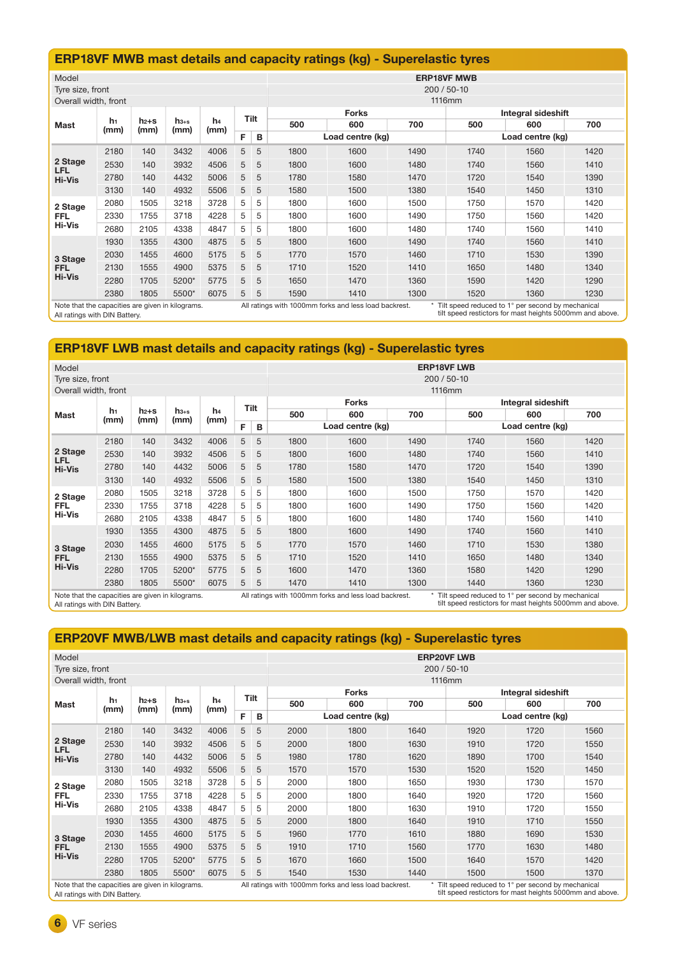# **ERP18VF MWB mast details and capacity ratings (kg) - Superelastic tyres**

| Model                 |                                                                                                                                                                                                                                                             |                   |                   |                        |    |      | <b>ERP18VF MWB</b> |                  |        |      |                    |      |  |  |
|-----------------------|-------------------------------------------------------------------------------------------------------------------------------------------------------------------------------------------------------------------------------------------------------------|-------------------|-------------------|------------------------|----|------|--------------------|------------------|--------|------|--------------------|------|--|--|
| Tyre size, front      |                                                                                                                                                                                                                                                             |                   |                   |                        |    |      | 200 / 50-10        |                  |        |      |                    |      |  |  |
| Overall width, front  |                                                                                                                                                                                                                                                             |                   |                   |                        |    |      |                    |                  | 1116mm |      |                    |      |  |  |
|                       |                                                                                                                                                                                                                                                             |                   |                   |                        |    | Tilt |                    | <b>Forks</b>     |        |      | Integral sideshift |      |  |  |
| <b>Mast</b>           | h1<br>(mm)                                                                                                                                                                                                                                                  | $h_{2+S}$<br>(mm) | $h_{3+s}$<br>(mm) | h <sub>4</sub><br>(mm) |    |      | 500                | 600              | 700    | 500  | 600                | 700  |  |  |
|                       |                                                                                                                                                                                                                                                             |                   |                   |                        | F. | В    |                    | Load centre (kg) |        |      | Load centre (kg)   |      |  |  |
|                       | 2180                                                                                                                                                                                                                                                        | 140               | 3432              | 4006                   | 5  | 5    | 1800               | 1600             | 1490   | 1740 | 1560               | 1420 |  |  |
| 2 Stage<br><b>LFL</b> | 2530                                                                                                                                                                                                                                                        | 140               | 3932              | 4506                   | 5  | 5    | 1800               | 1600             | 1480   | 1740 | 1560               | 1410 |  |  |
| <b>Hi-Vis</b>         | 2780                                                                                                                                                                                                                                                        | 140               | 4432              | 5006                   | 5  | 5    | 1780               | 1580             | 1470   | 1720 | 1540               | 1390 |  |  |
|                       | 3130                                                                                                                                                                                                                                                        | 140               | 4932              | 5506                   | 5  | 5    | 1580               | 1500             | 1380   | 1540 | 1450               | 1310 |  |  |
| 2 Stage               | 2080                                                                                                                                                                                                                                                        | 1505              | 3218              | 3728                   | 5  | 5    | 1800               | 1600             | 1500   | 1750 | 1570               | 1420 |  |  |
| <b>FFL</b>            | 2330                                                                                                                                                                                                                                                        | 1755              | 3718              | 4228                   | 5  | 5    | 1800               | 1600             | 1490   | 1750 | 1560               | 1420 |  |  |
| <b>Hi-Vis</b>         | 2680                                                                                                                                                                                                                                                        | 2105              | 4338              | 4847                   | 5  | 5    | 1800               | 1600             | 1480   | 1740 | 1560               | 1410 |  |  |
|                       | 1930                                                                                                                                                                                                                                                        | 1355              | 4300              | 4875                   | 5  | 5    | 1800               | 1600             | 1490   | 1740 | 1560               | 1410 |  |  |
| 3 Stage               | 2030                                                                                                                                                                                                                                                        | 1455              | 4600              | 5175                   | 5  | 5    | 1770               | 1570             | 1460   | 1710 | 1530               | 1390 |  |  |
| <b>FFL</b>            | 2130                                                                                                                                                                                                                                                        | 1555              | 4900              | 5375                   | 5  | 5    | 1710               | 1520             | 1410   | 1650 | 1480               | 1340 |  |  |
| <b>Hi-Vis</b>         | 2280                                                                                                                                                                                                                                                        | 1705              | 5200*             | 5775                   | 5  | 5    | 1650               | 1470             | 1360   | 1590 | 1420               | 1290 |  |  |
|                       | 2380                                                                                                                                                                                                                                                        | 1805              | 5500*             | 6075                   | 5  | 5    | 1590               | 1410             | 1300   | 1520 | 1360               | 1230 |  |  |
|                       | Tilt speed reduced to 1° per second by mechanical<br>Note that the capacities are given in kilograms.<br>All ratings with 1000mm forks and less load backrest.<br>tilt speed restictors for mast heights 5000mm and above.<br>All ratings with DIN Battery. |                   |                   |                        |    |      |                    |                  |        |      |                    |      |  |  |

All ratings with DIN Battery.

j

# **ERP18VF LWB mast details and capacity ratings (kg) - Superelastic tyres**

| Model                                                                                                                                                                                                                                                       |      |           |           |                |             |   | <b>ERP18VF LWB</b>      |                  |      |      |                    |      |  |  |
|-------------------------------------------------------------------------------------------------------------------------------------------------------------------------------------------------------------------------------------------------------------|------|-----------|-----------|----------------|-------------|---|-------------------------|------------------|------|------|--------------------|------|--|--|
| Tyre size, front                                                                                                                                                                                                                                            |      |           |           |                |             |   | $200/50 - 10$<br>1116mm |                  |      |      |                    |      |  |  |
| Overall width, front                                                                                                                                                                                                                                        |      |           |           |                |             |   |                         |                  |      |      |                    |      |  |  |
|                                                                                                                                                                                                                                                             | h1   | $h_{2+S}$ | $h_{3+s}$ | h <sub>4</sub> | Tilt        |   |                         | <b>Forks</b>     |      |      | Integral sideshift |      |  |  |
| <b>Mast</b>                                                                                                                                                                                                                                                 | (mm) | (mm)      | (mm)      | (mm)           |             |   | 500                     | 600              | 700  | 500  | 600                | 700  |  |  |
|                                                                                                                                                                                                                                                             |      |           |           |                | F           | B |                         | Load centre (kg) |      |      | Load centre (kg)   |      |  |  |
|                                                                                                                                                                                                                                                             | 2180 | 140       | 3432      | 4006           | 5           | 5 | 1800                    | 1600             | 1490 | 1740 | 1560               | 1420 |  |  |
| 2 Stage<br><b>LFL</b>                                                                                                                                                                                                                                       | 2530 | 140       | 3932      | 4506           | 5           | 5 | 1800                    | 1600             | 1480 | 1740 | 1560               | 1410 |  |  |
| <b>Hi-Vis</b>                                                                                                                                                                                                                                               | 2780 | 140       | 4432      | 5006           | 5           | 5 | 1780                    | 1580             | 1470 | 1720 | 1540               | 1390 |  |  |
|                                                                                                                                                                                                                                                             | 3130 | 140       | 4932      | 5506           | 5           | 5 | 1580                    | 1500             | 1380 | 1540 | 1450               | 1310 |  |  |
| 2 Stage                                                                                                                                                                                                                                                     | 2080 | 1505      | 3218      | 3728           | 5           | 5 | 1800                    | 1600             | 1500 | 1750 | 1570               | 1420 |  |  |
| FFL.                                                                                                                                                                                                                                                        | 2330 | 1755      | 3718      | 4228           | 5           | 5 | 1800                    | 1600             | 1490 | 1750 | 1560               | 1420 |  |  |
| <b>Hi-Vis</b>                                                                                                                                                                                                                                               | 2680 | 2105      | 4338      | 4847           | 5           | 5 | 1800                    | 1600             | 1480 | 1740 | 1560               | 1410 |  |  |
|                                                                                                                                                                                                                                                             | 1930 | 1355      | 4300      | 4875           | 5           | 5 | 1800                    | 1600             | 1490 | 1740 | 1560               | 1410 |  |  |
| 3 Stage                                                                                                                                                                                                                                                     | 2030 | 1455      | 4600      | 5175           | 5           | 5 | 1770                    | 1570             | 1460 | 1710 | 1530               | 1380 |  |  |
| FFL                                                                                                                                                                                                                                                         | 2130 | 1555      | 4900      | 5375           | 5           | 5 | 1710                    | 1520             | 1410 | 1650 | 1480               | 1340 |  |  |
| <b>Hi-Vis</b>                                                                                                                                                                                                                                               | 2280 | 1705      | 5200*     | 5775           | 5           | 5 | 1600                    | 1470             | 1360 | 1580 | 1420               | 1290 |  |  |
|                                                                                                                                                                                                                                                             | 2380 | 1805      | 5500*     | 6075           | $5^{\circ}$ | 5 | 1470                    | 1410             | 1300 | 1440 | 1360               | 1230 |  |  |
| Note that the capacities are given in kilograms.<br>All ratings with 1000mm forks and less load backrest.<br>Tilt speed reduced to 1° per second by mechanical<br>tilt speed restictors for mast heights 5000mm and above.<br>All ratings with DIN Battery. |      |           |           |                |             |   |                         |                  |      |      |                    |      |  |  |

# **ERP20VF MWB/LWB mast details and capacity ratings (kg) - Superelastic tyres**

| Model                                            |            |           |           |                        |                |   | <b>ERP20VF LWB</b>                                                                                         |                  |        |                    |                  |      |  |  |
|--------------------------------------------------|------------|-----------|-----------|------------------------|----------------|---|------------------------------------------------------------------------------------------------------------|------------------|--------|--------------------|------------------|------|--|--|
| Tyre size, front                                 |            |           |           |                        |                |   | 200 / 50-10                                                                                                |                  |        |                    |                  |      |  |  |
| Overall width, front                             |            |           |           |                        |                |   |                                                                                                            |                  | 1116mm |                    |                  |      |  |  |
|                                                  |            |           |           |                        |                |   |                                                                                                            | <b>Forks</b>     |        | Integral sideshift |                  |      |  |  |
| Mast                                             | h1<br>(mm) | $h_{2+S}$ | $h_{3+s}$ | h <sub>4</sub><br>(mm) | Tilt<br>F<br>в |   | 500                                                                                                        | 600              | 700    | 500                | 600              | 700  |  |  |
|                                                  |            | (mm)      | (mm)      |                        |                |   |                                                                                                            | Load centre (kg) |        |                    | Load centre (kg) |      |  |  |
|                                                  | 2180       | 140       | 3432      | 4006                   | 5              | 5 | 2000                                                                                                       | 1800             | 1640   | 1920               | 1720             | 1560 |  |  |
| 2 Stage<br><b>LFL</b>                            | 2530       | 140       | 3932      | 4506                   | 5              | 5 | 2000                                                                                                       | 1800             | 1630   | 1910               | 1720             | 1550 |  |  |
| <b>Hi-Vis</b>                                    | 2780       | 140       | 4432      | 5006                   | 5              | 5 | 1980                                                                                                       | 1780             | 1620   | 1890               | 1700             | 1540 |  |  |
|                                                  | 3130       | 140       | 4932      | 5506                   | 5              | 5 | 1570                                                                                                       | 1570             | 1530   | 1520               | 1520             | 1450 |  |  |
| 2 Stage                                          | 2080       | 1505      | 3218      | 3728                   | 5              | 5 | 2000                                                                                                       | 1800             | 1650   | 1930               | 1730             | 1570 |  |  |
| FFL                                              | 2330       | 1755      | 3718      | 4228                   | 5              | 5 | 2000                                                                                                       | 1800             | 1640   | 1920               | 1720             | 1560 |  |  |
| <b>Hi-Vis</b>                                    | 2680       | 2105      | 4338      | 4847                   | 5              | 5 | 2000                                                                                                       | 1800             | 1630   | 1910               | 1720             | 1550 |  |  |
|                                                  | 1930       | 1355      | 4300      | 4875                   | 5              | 5 | 2000                                                                                                       | 1800             | 1640   | 1910               | 1710             | 1550 |  |  |
| 3 Stage                                          | 2030       | 1455      | 4600      | 5175                   | 5              | 5 | 1960                                                                                                       | 1770             | 1610   | 1880               | 1690             | 1530 |  |  |
| FFL                                              | 2130       | 1555      | 4900      | 5375                   | 5              | 5 | 1910                                                                                                       | 1710             | 1560   | 1770               | 1630             | 1480 |  |  |
| <b>Hi-Vis</b>                                    | 2280       | 1705      | 5200*     | 5775                   | 5              | 5 | 1670                                                                                                       | 1660             | 1500   | 1640               | 1570             | 1420 |  |  |
|                                                  | 2380       | 1805      | 5500*     | 6075                   | 5 <sup>5</sup> | 5 | 1540                                                                                                       | 1530             | 1440   | 1500               | 1500             | 1370 |  |  |
| Note that the capacities are given in kilograms. |            |           |           |                        |                |   | Tilt speed reduced to 1° per second by mechanical<br>All ratings with 1000mm forks and less load backrest. |                  |        |                    |                  |      |  |  |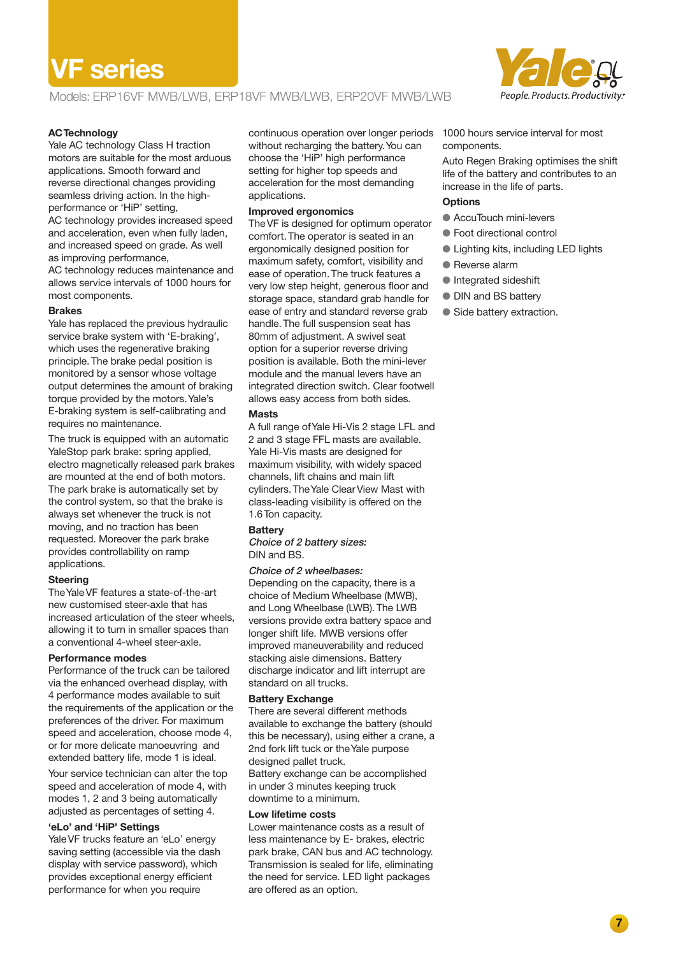# **VF series**

Models: ERP16VF MWB/LWB, ERP18VF MWB/LWB, ERP20VF MWB/LWB



#### **AC Technology**

Yale AC technology Class H traction motors are suitable for the most arduous applications. Smooth forward and reverse directional changes providing seamless driving action. In the highperformance or 'HiP' setting, AC technology provides increased speed and acceleration, even when fully laden, and increased speed on grade. As well as improving performance, AC technology reduces maintenance and allows service intervals of 1000 hours for most components.

#### **Brakes**

Yale has replaced the previous hydraulic service brake system with 'E-braking', which uses the regenerative braking principle. The brake pedal position is monitored by a sensor whose voltage output determines the amount of braking torque provided by the motors. Yale's E-braking system is self-calibrating and requires no maintenance.

The truck is equipped with an automatic YaleStop park brake: spring applied, electro magnetically released park brakes are mounted at the end of both motors. The park brake is automatically set by the control system, so that the brake is always set whenever the truck is not moving, and no traction has been requested. Moreover the park brake provides controllability on ramp applications.

#### **Steering**

The Yale VF features a state-of-the-art new customised steer-axle that has increased articulation of the steer wheels, allowing it to turn in smaller spaces than a conventional 4-wheel steer-axle.

#### **Performance modes**

Performance of the truck can be tailored via the enhanced overhead display, with 4 performance modes available to suit the requirements of the application or the preferences of the driver. For maximum speed and acceleration, choose mode 4, or for more delicate manoeuvring and extended battery life, mode 1 is ideal.

Your service technician can alter the top speed and acceleration of mode 4, with modes 1, 2 and 3 being automatically adjusted as percentages of setting 4.

#### **'eLo' and 'HiP' Settings**

Yale VF trucks feature an 'eLo' energy saving setting (accessible via the dash display with service password), which provides exceptional energy efficient performance for when you require

continuous operation over longer periods 1000 hours service interval for most without recharging the battery. You can choose the 'HiP' high performance setting for higher top speeds and acceleration for the most demanding applications.

#### **Improved ergonomics**

The VF is designed for optimum operator comfort. The operator is seated in an ergonomically designed position for maximum safety, comfort, visibility and ease of operation. The truck features a very low step height, generous floor and storage space, standard grab handle for ease of entry and standard reverse grab handle. The full suspension seat has 80mm of adjustment. A swivel seat option for a superior reverse driving position is available. Both the mini-lever module and the manual levers have an integrated direction switch. Clear footwell allows easy access from both sides.

#### **Masts**

A full range of Yale Hi-Vis 2 stage LFL and 2 and 3 stage FFL masts are available. Yale Hi-Vis masts are designed for maximum visibility, with widely spaced channels, lift chains and main lift cylinders. The Yale Clear View Mast with class-leading visibility is offered on the 1.6 Ton capacity.

#### **Battery**

#### Choice of 2 battery sizes: DIN and BS.

#### Choice of 2 wheelbases:

Depending on the capacity, there is a choice of Medium Wheelbase (MWB), and Long Wheelbase (LWB). The LWB versions provide extra battery space and longer shift life. MWB versions offer improved maneuverability and reduced stacking aisle dimensions. Battery discharge indicator and lift interrupt are standard on all trucks.

#### **Battery Exchange**

There are several different methods available to exchange the battery (should this be necessary), using either a crane, a 2nd fork lift tuck or the Yale purpose designed pallet truck. Battery exchange can be accomplished in under 3 minutes keeping truck

downtime to a minimum.

### **Low lifetime costs**

Lower maintenance costs as a result of less maintenance by E- brakes, electric park brake, CAN bus and AC technology. Transmission is sealed for life, eliminating the need for service. LED light packages are offered as an option.

components.

Auto Regen Braking optimises the shift life of the battery and contributes to an increase in the life of parts.

## **Options**

- **AccuTouch mini-levers**
- Foot directional control
- Lighting kits, including LED lights
- Reverse alarm
- **Integrated sideshift**
- DIN and BS battery
- Side battery extraction.